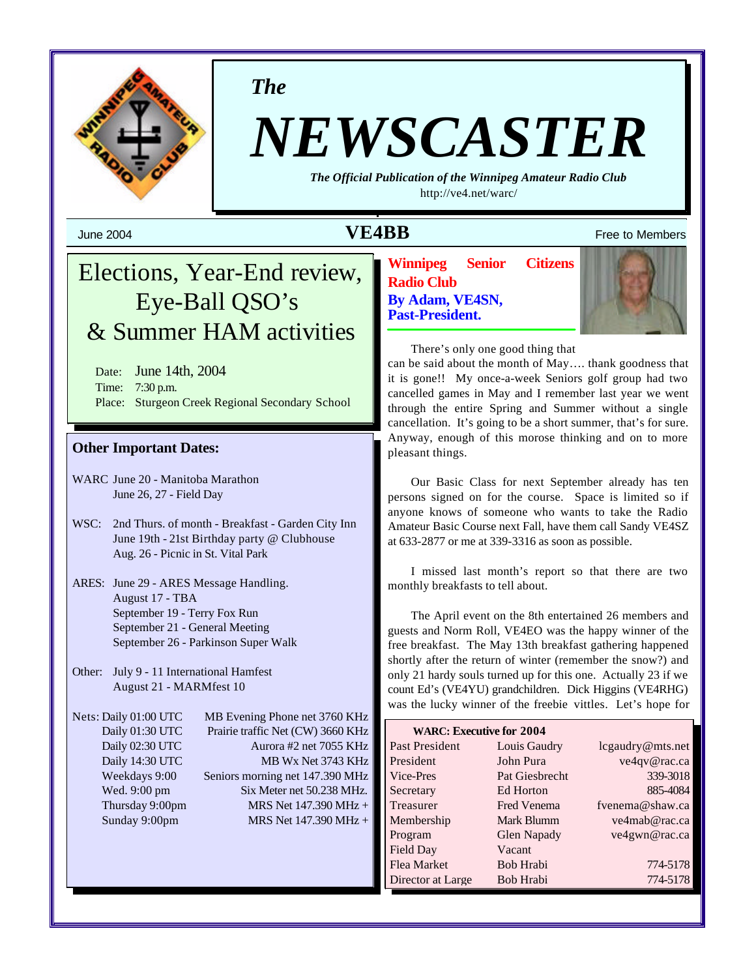

*The*

# *NEWSCASTER*

*The Official Publication of the Winnipeg Amateur Radio Club* <http://ve4.net/warc/>

# June 2004 **VE4BB** Free to Members

# Elections, Year-End review, Eye-Ball QSO's & Summer HAM activities

Date: June 14th, 2004 Time: 7:30 p.m. Place: Sturgeon Creek Regional Secondary School

## **Other Important Dates:**

- WARC June 20 Manitoba Marathon June 26, 27 - Field Day
- WSC: 2nd Thurs. of month Breakfast Garden City Inn June 19th - 21st Birthday party @ Clubhouse Aug. 26 - Picnic in St. Vital Park
- ARES: June 29 ARES Message Handling. August 17 - TBA September 19 - Terry Fox Run September 21 - General Meeting September 26 - Parkinson Super Walk
- Other: July 9 11 International Hamfest August 21 - MARMfest 10

Nets: Daily 01:00 UTC MB Evening Phone net 3760 KHz Daily 01:30 UTC Prairie traffic Net (CW) 3660 KHz Daily 02:30 UTC Aurora #2 net 7055 KHz Daily 14:30 UTC MB Wx Net 3743 KHz Weekdays 9:00 Seniors morning net 147.390 MHz Wed. 9:00 pm Six Meter net 50.238 MHz. Thursday 9:00pm MRS Net  $147.390 \text{ MHz} +$ Sunday 9:00pm MRS Net 147.390 MHz +

**Winnipeg Senior Citizens Radio Club By Adam, VE4SN, Past-President.**



There's only one good thing that

can be said about the month of May…. thank goodness that it is gone!! My once-a-week Seniors golf group had two cancelled games in May and I remember last year we went through the entire Spring and Summer without a single cancellation. It's going to be a short summer, that's for sure. Anyway, enough of this morose thinking and on to more pleasant things.

Our Basic Class for next September already has ten persons signed on for the course. Space is limited so if anyone knows of someone who wants to take the Radio Amateur Basic Course next Fall, have them call Sandy VE4SZ at 633-2877 or me at 339-3316 as soon as possible.

I missed last month's report so that there are two monthly breakfasts to tell about.

The April event on the 8th entertained 26 members and guests and Norm Roll, VE4EO was the happy winner of the free breakfast. The May 13th breakfast gathering happened shortly after the return of winter (remember the snow?) and only 21 hardy souls turned up for this one. Actually 23 if we count Ed's (VE4YU) grandchildren. Dick Higgins (VE4RHG) was the lucky winner of the freebie vittles. Let's hope for

| <b>WARC: Executive for 2004</b> |                    |                  |  |  |  |
|---------------------------------|--------------------|------------------|--|--|--|
| Past President                  | Louis Gaudry       | lcgaudry@mts.net |  |  |  |
| President                       | John Pura          | ve4qv@rac.ca     |  |  |  |
| Vice-Pres                       | Pat Giesbrecht     | 339-3018         |  |  |  |
| Secretary                       | Ed Horton          | 885-4084         |  |  |  |
| Treasurer                       | <b>Fred Venema</b> | fvenema@shaw.ca  |  |  |  |
| Membership                      | Mark Blumm         | ve4mab@rac.ca    |  |  |  |
| Program                         | Glen Napady        | ve4gwn@rac.ca    |  |  |  |
| Field Day                       | Vacant             |                  |  |  |  |
| Flea Market                     | Bob Hrabi          | 774-5178         |  |  |  |
| Director at Large               | Bob Hrabi          | 774-5178         |  |  |  |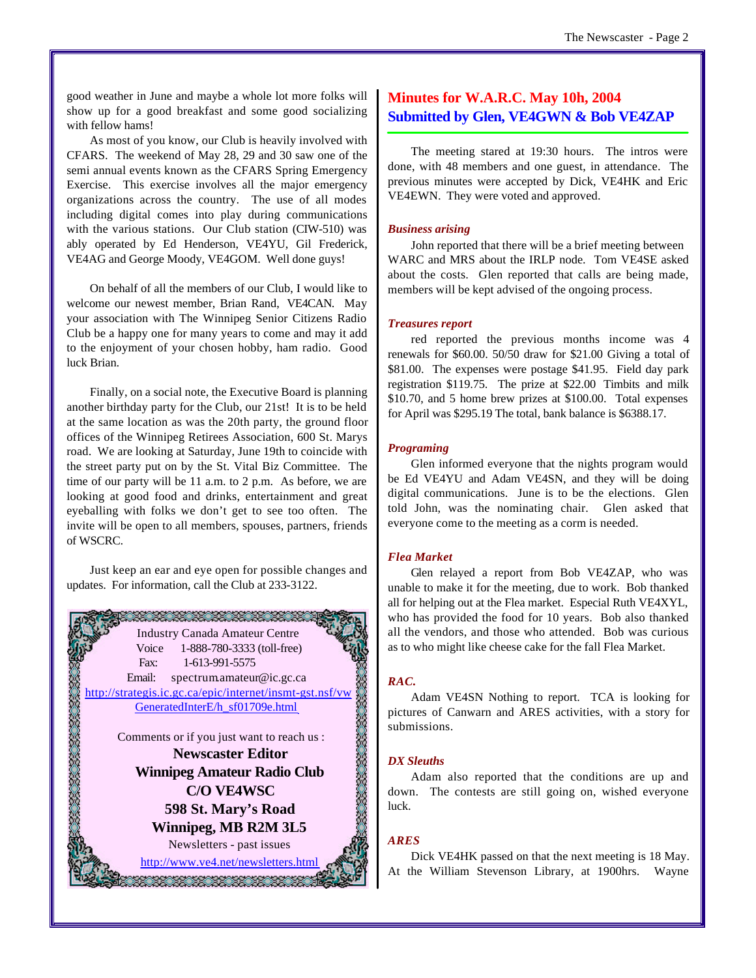good weather in June and maybe a whole lot more folks will show up for a good breakfast and some good socializing with fellow hams!

As most of you know, our Club is heavily involved with CFARS. The weekend of May 28, 29 and 30 saw one of the semi annual events known as the CFARS Spring Emergency Exercise. This exercise involves all the major emergency organizations across the country. The use of all modes including digital comes into play during communications with the various stations. Our Club station (CIW-510) was ably operated by Ed Henderson, VE4YU, Gil Frederick, VE4AG and George Moody, VE4GOM. Well done guys!

On behalf of all the members of our Club, I would like to welcome our newest member, Brian Rand, VE4CAN. May your association with The Winnipeg Senior Citizens Radio Club be a happy one for many years to come and may it add to the enjoyment of your chosen hobby, ham radio. Good luck Brian.

Finally, on a social note, the Executive Board is planning another birthday party for the Club, our 21st! It is to be held at the same location as was the 20th party, the ground floor offices of the Winnipeg Retirees Association, 600 St. Marys road. We are looking at Saturday, June 19th to coincide with the street party put on by the St. Vital Biz Committee. The time of our party will be 11 a.m. to 2 p.m. As before, we are looking at good food and drinks, entertainment and great eyeballing with folks we don't get to see too often. The invite will be open to all members, spouses, partners, friends of WSCRC.

Just keep an ear and eye open for possible changes and updates. For information, call the Club at 233-3122.



# **Minutes for W.A.R.C. May 10h, 2004 Submitted by Glen, VE4GWN & Bob VE4ZAP**

The meeting stared at 19:30 hours. The intros were done, with 48 members and one guest, in attendance. The previous minutes were accepted by Dick, VE4HK and Eric VE4EWN. They were voted and approved.

#### *Business arising*

John reported that there will be a brief meeting between WARC and MRS about the IRLP node. Tom VE4SE asked about the costs. Glen reported that calls are being made, members will be kept advised of the ongoing process.

#### *Treasures report*

red reported the previous months income was 4 renewals for \$60.00. 50/50 draw for \$21.00 Giving a total of \$81.00. The expenses were postage \$41.95. Field day park registration \$119.75. The prize at \$22.00 Timbits and milk \$10.70, and 5 home brew prizes at \$100.00. Total expenses for April was \$295.19 The total, bank balance is \$6388.17.

#### *Programing*

Glen informed everyone that the nights program would be Ed VE4YU and Adam VE4SN, and they will be doing digital communications. June is to be the elections. Glen told John, was the nominating chair. Glen asked that everyone come to the meeting as a corm is needed.

#### *Flea Market*

Glen relayed a report from Bob VE4ZAP, who was unable to make it for the meeting, due to work. Bob thanked all for helping out at the Flea market. Especial Ruth VE4XYL, who has provided the food for 10 years. Bob also thanked all the vendors, and those who attended. Bob was curious as to who might like cheese cake for the fall Flea Market.

#### *RAC.*

Adam VE4SN Nothing to report. TCA is looking for pictures of Canwarn and ARES activities, with a story for submissions.

#### *DX Sleuths*

Adam also reported that the conditions are up and down. The contests are still going on, wished everyone luck.

#### *ARES*

Dick VE4HK passed on that the next meeting is 18 May. At the William Stevenson Library, at 1900hrs. Wayne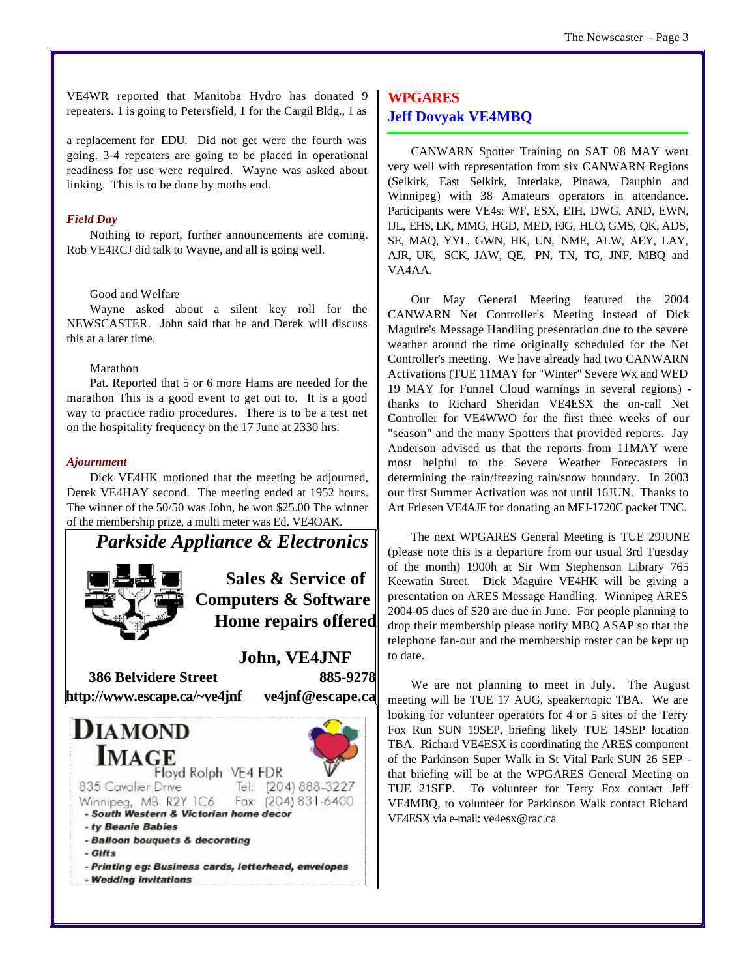VE4WR reported that Manitoba Hydro has donated 9 repeaters. 1 is going to Petersfield, 1 for the Cargil Bldg., 1 as

a replacement for EDU. Did not get were the fourth was going. 3-4 repeaters are going to be placed in operational readiness for use were required. Wayne was asked about linking. This is to be done by moths end.

#### *Field Day*

Nothing to report, further announcements are coming. Rob VE4RCJ did talk to Wayne, and all is going well.

#### Good and Welfare

Wayne asked about a silent key roll for the NEWSCASTER. John said that he and Derek will discuss this at a later time.

#### Marathon

Pat. Reported that 5 or 6 more Hams are needed for the marathon This is a good event to get out to. It is a good way to practice radio procedures. There is to be a test net on the hospitality frequency on the 17 June at 2330 hrs.

#### *Ajournment*

Dick VE4HK motioned that the meeting be adjourned, Derek VE4HAY second. The meeting ended at 1952 hours. The winner of the 50/50 was John, he won \$25.00 The winner of the membership prize, a multi meter was Ed. VE4OAK.



# **WPGARES Jeff Dovyak VE4MBQ**

CANWARN Spotter Training on SAT 08 MAY went very well with representation from six CANWARN Regions (Selkirk, East Selkirk, Interlake, Pinawa, Dauphin and Winnipeg) with 38 Amateurs operators in attendance. Participants were VE4s: WF, ESX, EIH, DWG, AND, EWN, IJL, EHS, LK, MMG, HGD, MED, FJG, HLO, GMS, QK, ADS, SE, MAQ, YYL, GWN, HK, UN, NME, ALW, AEY, LAY, AJR, UK, SCK, JAW, QE, PN, TN, TG, JNF, MBQ and VA4AA.

Our May General Meeting featured the 2004 CANWARN Net Controller's Meeting instead of Dick Maguire's Message Handling presentation due to the severe weather around the time originally scheduled for the Net Controller's meeting. We have already had two CANWARN Activations (TUE 11MAY for "Winter" Severe Wx and WED 19 MAY for Funnel Cloud warnings in several regions) thanks to Richard Sheridan VE4ESX the on-call Net Controller for VE4WWO for the first three weeks of our "season" and the many Spotters that provided reports. Jay Anderson advised us that the reports from 11MAY were most helpful to the Severe Weather Forecasters in determining the rain/freezing rain/snow boundary. In 2003 our first Summer Activation was not until 16JUN. Thanks to Art Friesen VE4AJF for donating an MFJ-1720C packet TNC.

The next WPGARES General Meeting is TUE 29JUNE (please note this is a departure from our usual 3rd Tuesday of the month) 1900h at Sir Wm Stephenson Library 765 Keewatin Street. Dick Maguire VE4HK will be giving a presentation on ARES Message Handling. Winnipeg ARES 2004-05 dues of \$20 are due in June. For people planning to drop their membership please notify MBQ ASAP so that the telephone fan-out and the membership roster can be kept up to date.

We are not planning to meet in July. The August meeting will be TUE 17 AUG, speaker/topic TBA. We are looking for volunteer operators for 4 or 5 sites of the Terry Fox Run SUN 19SEP, briefing likely TUE 14SEP location TBA. Richard VE4ESX is coordinating the ARES component of the Parkinson Super Walk in St Vital Park SUN 26 SEP that briefing will be at the WPGARES General Meeting on TUE 21SEP. To volunteer for Terry Fox contact Jeff VE4MBQ, to volunteer for Parkinson Walk contact Richard VE4ESX via e-mail: ve4esx@rac.ca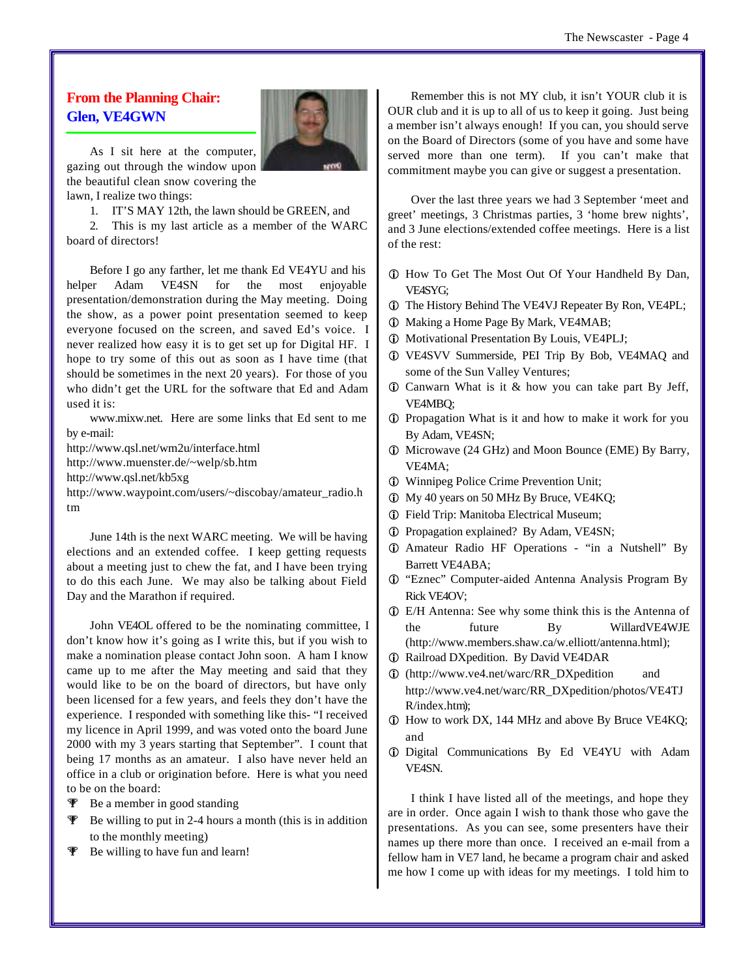# **From the Planning Chair: Glen, VE4GWN**



As I sit here at the computer, gazing out through the window upon the beautiful clean snow covering the lawn, I realize two things:

1. IT'S MAY 12th, the lawn should be GREEN, and

2. This is my last article as a member of the WARC board of directors!

Before I go any farther, let me thank Ed VE4YU and his helper Adam VE4SN for the most enjoyable presentation/demonstration during the May meeting. Doing the show, as a power point presentation seemed to keep everyone focused on the screen, and saved Ed's voice. I never realized how easy it is to get set up for Digital HF. I hope to try some of this out as soon as I have time (that should be sometimes in the next 20 years). For those of you who didn't get the URL for the software that Ed and Adam used it is:

www.mixw.net. Here are some links that Ed sent to me by e-mail:

<http://www.qsl.net/wm2u/interface.html>

<http://www.muenster.de/~welp/sb.htm>

<http://www.qsl.net/kb5xg>

[http://www.waypoint.com/users/~discobay/amateur\\_radio.h](http://www.waypoint.com/users/~discobay/amateur_radio.h) tm

June 14th is the next WARC meeting. We will be having elections and an extended coffee. I keep getting requests about a meeting just to chew the fat, and I have been trying to do this each June. We may also be talking about Field Day and the Marathon if required.

John VE4OL offered to be the nominating committee, I don't know how it's going as I write this, but if you wish to make a nomination please contact John soon. A ham I know came up to me after the May meeting and said that they would like to be on the board of directors, but have only been licensed for a few years, and feels they don't have the experience. I responded with something like this- "I received my licence in April 1999, and was voted onto the board June 2000 with my 3 years starting that September". I count that being 17 months as an amateur. I also have never held an office in a club or origination before. Here is what you need to be on the board:

- **T** Be a member in good standing
- $\mathcal F$  Be willing to put in 2-4 hours a month (this is in addition to the monthly meeting)
- **W** Be willing to have fun and learn!

Remember this is not MY club, it isn't YOUR club it is OUR club and it is up to all of us to keep it going. Just being a member isn't always enough! If you can, you should serve on the Board of Directors (some of you have and some have served more than one term). If you can't make that commitment maybe you can give or suggest a presentation.

Over the last three years we had 3 September 'meet and greet' meetings, 3 Christmas parties, 3 'home brew nights', and 3 June elections/extended coffee meetings. Here is a list of the rest:

- **C** How To Get The Most Out Of Your Handheld By Dan, VE4SYG;
- $i$  The History Behind The VE4VJ Repeater By Ron, VE4PL;
- $\circ$  Making a Home Page By Mark, VE4MAB;
- $i$  Motivational Presentation By Louis, VE4PLJ;
- i VE4SVV Summerside, PEI Trip By Bob, VE4MAQ and some of the Sun Valley Ventures;
- $\odot$  Canwarn What is it & how you can take part By Jeff, VE4MBQ;
- i Propagation What is it and how to make it work for you By Adam, VE4SN;
- i Microwave (24 GHz) and Moon Bounce (EME) By Barry, VE4MA;
- $\n *Winnipeg Policy Crime Prevention Unit;*$
- i My 40 years on 50 MHz By Bruce, VE4KQ;
- $\circled{1}$  Field Trip: Manitoba Electrical Museum;
- $\odot$  Propagation explained? By Adam, VE4SN;
- i Amateur Radio HF Operations "in a Nutshell" By Barrett VE4ABA;
- i "Eznec" Computer-aided Antenna Analysis Program By Rick VE4OV;
- i E/H Antenna: See why some think this is the Antenna of the future By WillardVE4WJE [\(http://www.members.shaw.ca/w.elliott/antenna.html\);](http://www.members.shaw.ca/w.elliott/antenna.html)
- $i$  Railroad DXpedition. By David VE4DAR
- i [\(http://www.ve4.net/warc/RR\\_DXpedition](http://www.ve4.net/warc/RR_DXpedition) and [http://www.ve4.net/warc/RR\\_DXpedition/photos/VE4TJ](http://www.ve4.net/warc/RR_DXpedition/photos/VE4TJ) R/index.htm);
- i How to work DX, 144 MHz and above By Bruce VE4KQ; and
- i Digital Communications By Ed VE4YU with Adam VE4SN.

I think I have listed all of the meetings, and hope they are in order. Once again I wish to thank those who gave the presentations. As you can see, some presenters have their names up there more than once. I received an e-mail from a fellow ham in VE7 land, he became a program chair and asked me how I come up with ideas for my meetings. I told him to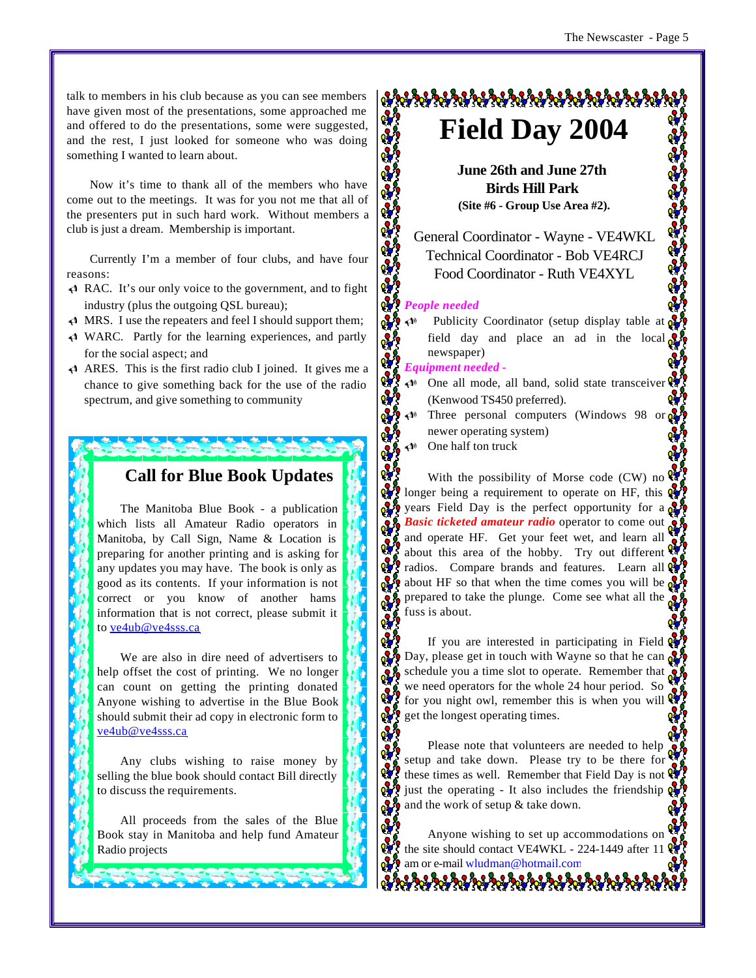talk to members in his club because as you can see members have given most of the presentations, some approached me and offered to do the presentations, some were suggested, and the rest, I just looked for someone who was doing something I wanted to learn about.

Now it's time to thank all of the members who have come out to the meetings. It was for you not me that all of the presenters put in such hard work. Without members a club is just a dream. Membership is important.

Currently I'm a member of four clubs, and have four reasons:

- $\triangleleft$  RAC. It's our only voice to the government, and to fight industry (plus the outgoing QSL bureau);
- $\triangleleft$  MRS. I use the repeaters and feel I should support them;
- $\triangleleft$  WARC. Partly for the learning experiences, and partly for the social aspect; and
- $\triangleleft$  ARES. This is the first radio club I joined. It gives me a chance to give something back for the use of the radio spectrum, and give something to community

# **Call for Blue Book Updates**

The Manitoba Blue Book - a publication which lists all Amateur Radio operators in Manitoba, by Call Sign, Name & Location is preparing for another printing and is asking for any updates you may have. The book is only as good as its contents. If your information is not correct or you know of another hams information that is not correct, please submit it to ve4ub@ve4sss.ca

We are also in dire need of advertisers to help offset the cost of printing. We no longer can count on getting the printing donated Anyone wishing to advertise in the Blue Book should submit their ad copy in electronic form to ve4ub@ve4sss.ca

Any clubs wishing to raise money by selling the blue book should contact Bill directly to discuss the requirements.

All proceeds from the sales of the Blue Book stay in Manitoba and help fund Amateur Radio projects

# **Field Day 2004**

**June 26th and June 27th Birds Hill Park (Site #6 - Group Use Area #2).**

General Coordinator - Wayne - VE4WKL Technical Coordinator - Bob VE4RCJ Food Coordinator - Ruth VE4XYL

#### 89 *People needed*

 $\mathbf{v}^{\prime}$ 

ଟ

∾ ∘° ∘ ∾ ŵ

ၷ

o.

U Publicity Coordinator (setup display table at field day and place an ad in the local  $\overrightarrow{q}$ newspaper)

#### *Equipment needed -*

- U One all mode, all band, solid state transceiver (Kenwood TS450 preferred).
- Three personal computers (Windows 98 or  $\alpha$ newer operating system)
- $\triangleleft$  One half ton truck

With the possibility of Morse code (CW) no  $\mathbb{Q}$ longer being a requirement to operate on HF, this  $\mathbf{\alpha}$ years Field Day is the perfect opportunity for a  $\frac{1}{2}$ **Basic ticketed amateur radio** operator to come out and operate HF. Get your feet wet, and learn all about this area of the hobby. Try out different radios. Compare brands and features. Learn all  $\mathbf{\Omega}$ about HF so that when the time comes you will be  $\alpha$ prepared to take the plunge. Come see what all the fuss is about.

If you are interested in participating in Field  $\mathbb{Q}$ Day, please get in touch with Wayne so that he can  $\alpha$ schedule you a time slot to operate. Remember that we need operators for the whole 24 hour period. So for you night owl, remember this is when you will  $\mathcal{C}$ get the longest operating times.

Please note that volunteers are needed to help setup and take down. Please try to be there for these times as well. Remember that Field Day is not just the operating - It also includes the friendship and the work of setup  $\&$  take down.

Anyone wishing to set up accommodations on the site should contact VE4WKL - 224-1449 after 11 am or e-mail wludman@hotmail.com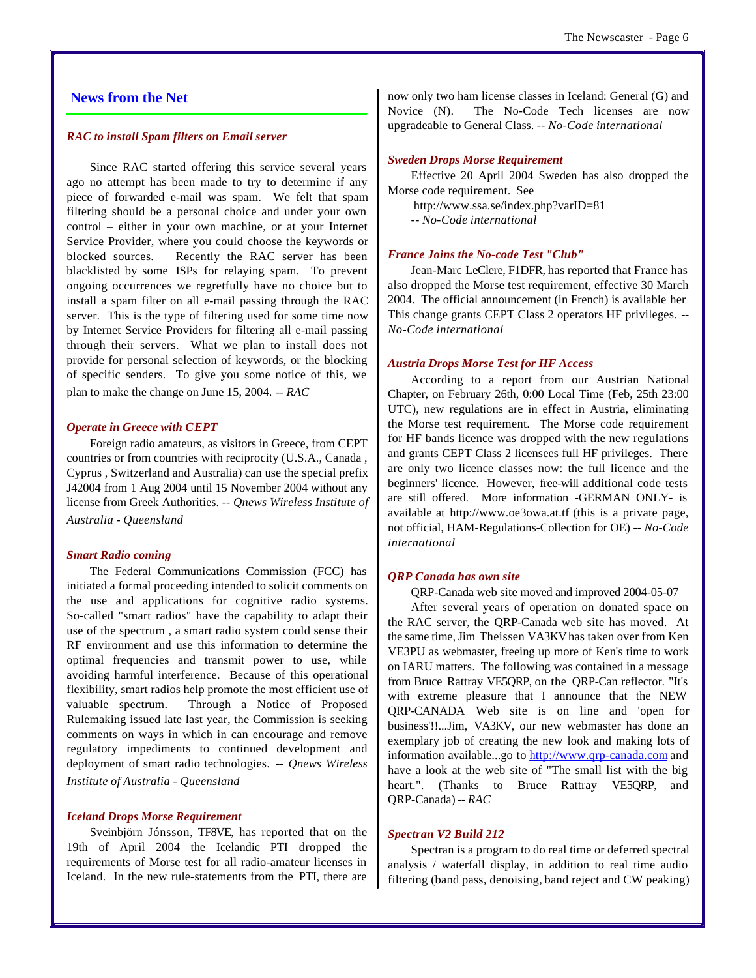## **News from the Net**

#### *RAC to install Spam filters on Email server*

Since RAC started offering this service several years ago no attempt has been made to try to determine if any piece of forwarded e-mail was spam. We felt that spam filtering should be a personal choice and under your own control – either in your own machine, or at your Internet Service Provider, where you could choose the keywords or blocked sources. Recently the RAC server has been blacklisted by some ISPs for relaying spam. To prevent ongoing occurrences we regretfully have no choice but to install a spam filter on all e-mail passing through the RAC server. This is the type of filtering used for some time now by Internet Service Providers for filtering all e-mail passing through their servers. What we plan to install does not provide for personal selection of keywords, or the blocking of specific senders. To give you some notice of this, we plan to make the change on June 15, 2004. *-- RAC*

#### *Operate in Greece with CEPT*

Foreign radio amateurs, as visitors in Greece, from CEPT countries or from countries with reciprocity (U.S.A., Canada , Cyprus , Switzerland and Australia) can use the special prefix J42004 from 1 Aug 2004 until 15 November 2004 without any license from Greek Authorities. *-- Qnews Wireless Institute of Australia - Queensland*

#### *Smart Radio coming*

The Federal Communications Commission (FCC) has initiated a formal proceeding intended to solicit comments on the use and applications for cognitive radio systems. So-called "smart radios" have the capability to adapt their use of the spectrum , a smart radio system could sense their RF environment and use this information to determine the optimal frequencies and transmit power to use, while avoiding harmful interference. Because of this operational flexibility, smart radios help promote the most efficient use of valuable spectrum. Through a Notice of Proposed Rulemaking issued late last year, the Commission is seeking comments on ways in which in can encourage and remove regulatory impediments to continued development and deployment of smart radio technologies. *-- Qnews Wireless Institute of Australia - Queensland*

#### *Iceland Drops Morse Requirement*

Sveinbjörn Jónsson, TF8VE, has reported that on the 19th of April 2004 the Icelandic PTI dropped the requirements of Morse test for all radio-amateur licenses in Iceland. In the new rule-statements from the PTI, there are

now only two ham license classes in Iceland: General (G) and Novice (N). The No-Code Tech licenses are now upgradeable to General Class. *-- No-Code international*

#### *Sweden Drops Morse Requirement*

Effective 20 April 2004 Sweden has also dropped the Morse code requirement. See

<http://www.ssa.se/index.php?varID=81> *-- No-Code international*

#### *France Joins the No-code Test "Club"*

Jean-Marc LeClere, F1DFR, has reported that France has also dropped the Morse test requirement, effective 30 March 2004. The official announcement (in French) is available her This change grants CEPT Class 2 operators HF privileges. *-- No-Code international*

#### *Austria Drops Morse Test for HF Access*

According to a report from our Austrian National Chapter, on February 26th, 0:00 Local Time (Feb, 25th 23:00 UTC), new regulations are in effect in Austria, eliminating the Morse test requirement. The Morse code requirement for HF bands licence was dropped with the new regulations and grants CEPT Class 2 licensees full HF privileges. There are only two licence classes now: the full licence and the beginners' licence. However, free-will additional code tests are still offered. More information -GERMAN ONLY- is available at <http://www.oe3owa.at.tf>(this is a private page, not official, HAM-Regulations-Collection for OE) *-- No-Code international*

#### *QRP Canada has own site*

QRP-Canada web site moved and improved 2004-05-07

After several years of operation on donated space on the RAC server, the QRP-Canada web site has moved. At the same time, Jim Theissen VA3KV has taken over from Ken VE3PU as webmaster, freeing up more of Ken's time to work on IARU matters. The following was contained in a message from Bruce Rattray VE5QRP, on the QRP-Can reflector. "It's with extreme pleasure that I announce that the NEW QRP-CANADA Web site is on line and 'open for business'!!...Jim, VA3KV, our new webmaster has done an exemplary job of creating the new look and making lots of information available...go to<http://www.qrp-canada.com>and have a look at the web site of "The small list with the big heart.". (Thanks to Bruce Rattray VE5QRP, and QRP-Canada)*-- RAC*

#### *Spectran V2 Build 212*

Spectran is a program to do real time or deferred spectral analysis / waterfall display, in addition to real time audio filtering (band pass, denoising, band reject and CW peaking)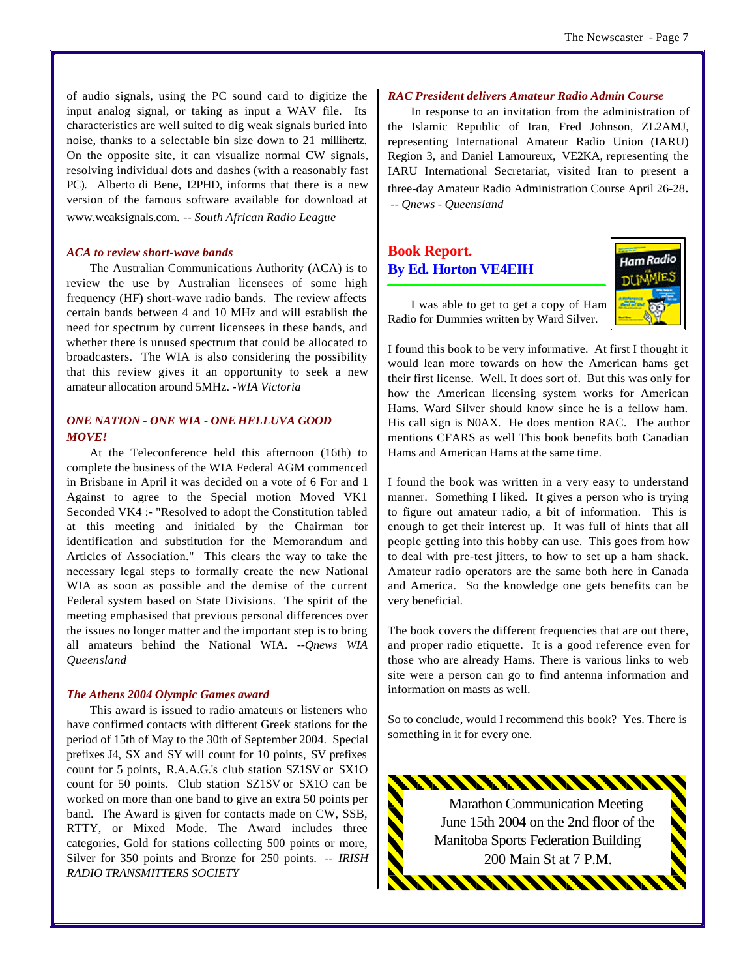of audio signals, using the PC sound card to digitize the input analog signal, or taking as input a WAV file. Its characteristics are well suited to dig weak signals buried into noise, thanks to a selectable bin size down to 21 millihertz. On the opposite site, it can visualize normal CW signals, resolving individual dots and dashes (with a reasonably fast PC). Alberto di Bene, I2PHD, informs that there is a new version of the famous software available for download at www.weaksignals.com. *-- South African Radio League*

#### *ACA to review short-wave bands*

The Australian Communications Authority (ACA) is to review the use by Australian licensees of some high frequency (HF) short-wave radio bands. The review affects certain bands between 4 and 10 MHz and will establish the need for spectrum by current licensees in these bands, and whether there is unused spectrum that could be allocated to broadcasters. The WIA is also considering the possibility that this review gives it an opportunity to seek a new amateur allocation around 5MHz. *-WIA Victoria*

#### *ONE NATION - ONE WIA - ONE HELLUVA GOOD MOVE!*

At the Teleconference held this afternoon (16th) to complete the business of the WIA Federal AGM commenced in Brisbane in April it was decided on a vote of 6 For and 1 Against to agree to the Special motion Moved VK1 Seconded VK4 :- "Resolved to adopt the Constitution tabled at this meeting and initialed by the Chairman for identification and substitution for the Memorandum and Articles of Association." This clears the way to take the necessary legal steps to formally create the new National WIA as soon as possible and the demise of the current Federal system based on State Divisions. The spirit of the meeting emphasised that previous personal differences over the issues no longer matter and the important step is to bring all amateurs behind the National WIA. *--Qnews WIA Queensland*

#### *The Athens 2004 Olympic Games award*

This award is issued to radio amateurs or listeners who have confirmed contacts with different Greek stations for the period of 15th of May to the 30th of September 2004. Special prefixes J4, SX and SY will count for 10 points, SV prefixes count for 5 points, R.A.A.G.'s club station SZ1SV or SX1O count for 50 points. Club station SZ1SV or SX1O can be worked on more than one band to give an extra 50 points per band. The Award is given for contacts made on CW, SSB, RTTY, or Mixed Mode. The Award includes three categories, Gold for stations collecting 500 points or more, Silver for 350 points and Bronze for 250 points. *-- IRISH RADIO TRANSMITTERS SOCIETY*

#### *RAC President delivers Amateur Radio Admin Course*

In response to an invitation from the administration of the Islamic Republic of Iran, Fred Johnson, ZL2AMJ, representing International Amateur Radio Union (IARU) Region 3, and Daniel Lamoureux, VE2KA, representing the IARU International Secretariat, visited Iran to present a three-day Amateur Radio Administration Course April 26-28.  *-- Qnews - Queensland*

# **Book Report. By Ed. Horton VE4EIH**



I was able to get to get a copy of Ham Radio for Dummies written by Ward Silver.

I found this book to be very informative. At first I thought it would lean more towards on how the American hams get their first license. Well. It does sort of. But this was only for how the American licensing system works for American Hams. Ward Silver should know since he is a fellow ham. His call sign is N0AX. He does mention RAC. The author mentions CFARS as well This book benefits both Canadian Hams and American Hams at the same time.

I found the book was written in a very easy to understand manner. Something I liked. It gives a person who is trying to figure out amateur radio, a bit of information. This is enough to get their interest up. It was full of hints that all people getting into this hobby can use. This goes from how to deal with pre-test jitters, to how to set up a ham shack. Amateur radio operators are the same both here in Canada and America. So the knowledge one gets benefits can be very beneficial.

The book covers the different frequencies that are out there, and proper radio etiquette. It is a good reference even for those who are already Hams. There is various links to web site were a person can go to find antenna information and information on masts as well.

So to conclude, would I recommend this book? Yes. There is something in it for every one.

Marathon Communication Meeting June 15th 2004 on the 2nd floor of the Manitoba Sports Federation Building 200 Main St at 7 P.M.

<u> AAAAAAAAAAAAAA</u>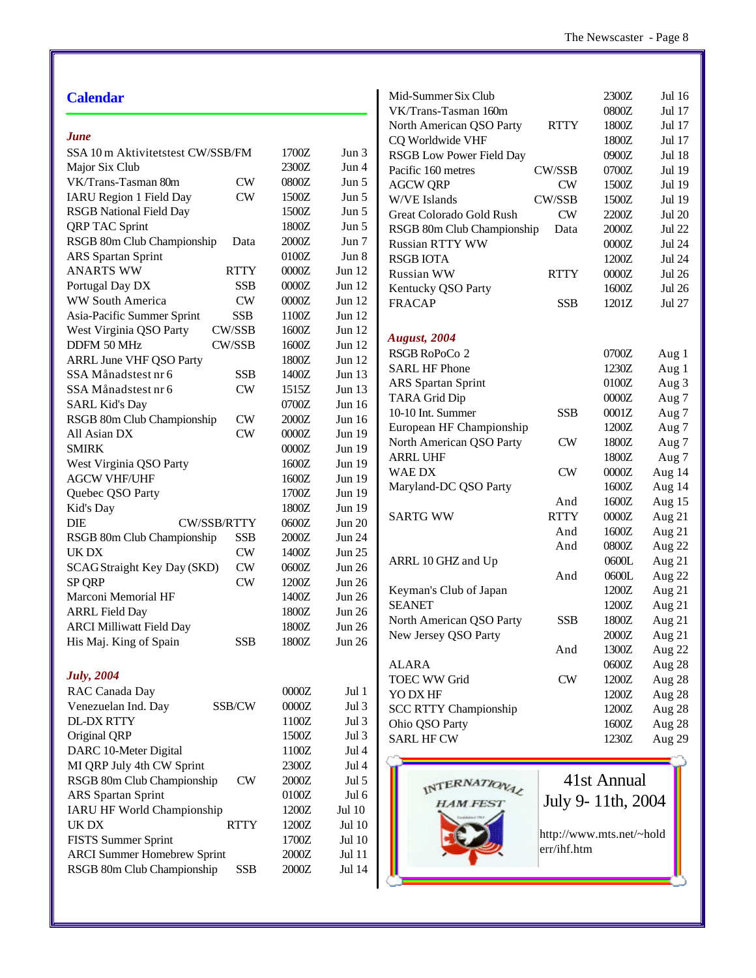| <b>Calendar</b>                             |         |               | Mid-Summer Six Club                          |                          | 2300Z             | Jul 16        |
|---------------------------------------------|---------|---------------|----------------------------------------------|--------------------------|-------------------|---------------|
|                                             |         |               | VK/Trans-Tasman 160m                         |                          | $0800Z$           | Jul 17        |
| <b>June</b>                                 |         |               | North American QSO Party                     | <b>RTTY</b>              | 1800Z<br>1800Z    | Jul 17        |
| SSA 10 m Aktivitetstest CW/SSB/FM           | 1700Z   | Jun 3         | CQ Worldwide VHF<br>RSGB Low Power Field Day |                          |                   | Jul 17        |
| Major Six Club                              | 2300Z   | Jun 4         |                                              |                          | 0900Z             | <b>Jul 18</b> |
| VK/Trans-Tasman 80m<br><b>CW</b>            | 0800Z   | Jun 5         | Pacific 160 metres                           | CW/SSB                   | 0700Z             | Jul 19        |
| <b>IARU Region 1 Field Day</b><br><b>CW</b> | 1500Z   | Jun 5         | <b>AGCW QRP</b>                              | <b>CW</b>                | 1500Z             | Jul 19        |
| <b>RSGB</b> National Field Day              | 1500Z   | Jun 5         | W/VE Islands                                 | CW/SSB                   | 1500Z             | Jul 19        |
| <b>QRP TAC Sprint</b>                       | 1800Z   | Jun 5         | Great Colorado Gold Rush                     | $\mathrm{CW}$            | 2200Z             | <b>Jul 20</b> |
| RSGB 80m Club Championship                  | 2000Z   |               | RSGB 80m Club Championship                   | Data                     | 2000Z             | <b>Jul 22</b> |
| Data                                        | 0100Z   | Jun 7         | Russian RTTY WW                              |                          | $0000Z$           | <b>Jul 24</b> |
| <b>ARS</b> Spartan Sprint                   |         | Jun 8         | <b>RSGB IOTA</b>                             |                          | 1200Z             | <b>Jul 24</b> |
| <b>ANARTS WW</b><br><b>RTTY</b>             | $0000Z$ | Jun $12$      | Russian WW                                   | <b>RTTY</b>              | $0000Z$           | <b>Jul 26</b> |
| <b>SSB</b><br>Portugal Day DX               | $0000Z$ | Jun $12$      | Kentucky QSO Party                           |                          | 1600Z             | <b>Jul 26</b> |
| <b>CW</b><br>WW South America               | $0000Z$ | Jun 12        | <b>FRACAP</b>                                | <b>SSB</b>               | 1201Z             | Jul 27        |
| Asia-Pacific Summer Sprint<br><b>SSB</b>    | 1100Z   | Jun 12        |                                              |                          |                   |               |
| CW/SSB<br>West Virginia QSO Party           | 1600Z   | <b>Jun 12</b> | <b>August</b> , 2004                         |                          |                   |               |
| CW/SSB<br>DDFM 50 MHz                       | 1600Z   | Jun 12        | RSGB RoPoCo 2                                |                          | 0700Z             | Aug 1         |
| <b>ARRL June VHF QSO Party</b>              | 1800Z   | Jun 12        | <b>SARL HF Phone</b>                         |                          | 1230Z             | Aug 1         |
| SSA Månadstest nr 6<br><b>SSB</b>           | 1400Z   | Jun 13        | ARS Spartan Sprint                           |                          | 0100Z             | Aug 3         |
| SSA Månadstest nr 6<br><b>CW</b>            | 1515Z   | Jun 13        | <b>TARA Grid Dip</b>                         |                          | 0000Z             |               |
| <b>SARL Kid's Day</b>                       | 0700Z   | Jun 16        | 10-10 Int. Summer                            |                          |                   | Aug 7         |
| RSGB 80m Club Championship<br><b>CW</b>     | $2000Z$ | Jun $16$      |                                              | <b>SSB</b>               | 0001Z             | Aug 7         |
| <b>CW</b><br>All Asian DX                   | $0000Z$ | Jun 19        | European HF Championship                     |                          | 1200Z             | Aug 7         |
| <b>SMIRK</b>                                | $0000Z$ | Jun 19        | North American QSO Party                     | CW                       | 1800Z             | Aug 7         |
| West Virginia QSO Party                     | 1600Z   | Jun 19        | <b>ARRL UHF</b>                              |                          | 1800Z             | Aug 7         |
| <b>AGCW VHF/UHF</b>                         | 1600Z   | Jun 19        | WAE DX                                       | <b>CW</b>                | 0000Z             | Aug 14        |
| Quebec QSO Party                            | 1700Z   | Jun 19        | Maryland-DC QSO Party                        |                          | 1600Z             | Aug 14        |
| Kid's Day                                   | 1800Z   | <b>Jun 19</b> |                                              | And                      | 1600Z             | Aug 15        |
| <b>DIE</b><br>CW/SSB/RTTY                   | 0600Z   | <b>Jun 20</b> | <b>SARTG WW</b>                              | <b>RTTY</b>              | 0000Z             | Aug 21        |
| RSGB 80m Club Championship<br><b>SSB</b>    | 2000Z   | Jun 24        |                                              | And                      | 1600Z             | Aug 21        |
| <b>CW</b><br>UK DX                          | 1400Z   | <b>Jun 25</b> |                                              | And                      | 0800Z             | Aug 22        |
| SCAG Straight Key Day (SKD)<br><b>CW</b>    | 0600Z   | <b>Jun 26</b> | ARRL 10 GHZ and Up                           |                          | 0600L             | Aug 21        |
| <b>CW</b><br><b>SP QRP</b>                  | 1200Z   | Jun 26        |                                              | And                      | 0600L             | Aug 22        |
| Marconi Memorial HF                         | 1400Z   | <b>Jun 26</b> | Keyman's Club of Japan                       |                          | 1200Z             | Aug 21        |
|                                             | 1800Z   | <b>Jun 26</b> | <b>SEANET</b>                                |                          | 1200Z             | Aug 21        |
| <b>ARRL Field Day</b>                       |         |               | North American QSO Party                     | <b>SSB</b>               | 1800Z             | Aug 21        |
| <b>ARCI Milliwatt Field Day</b>             | 1800Z   | <b>Jun 26</b> | New Jersey QSO Party                         |                          | $2000Z$           | Aug 21        |
| His Maj. King of Spain<br>SSB               | 1800Z   | Jun 26        |                                              | And                      | 1300Z             | Aug 22        |
|                                             |         |               | <b>ALARA</b>                                 |                          | 0600Z             | Aug 28        |
| <b>July</b> , 2004                          |         |               | <b>TOEC WW Grid</b>                          | CW                       | 1200Z             | Aug 28        |
| RAC Canada Day                              | $0000Z$ | Jul 1         | YO DX HF                                     |                          | 1200Z             | Aug 28        |
| Venezuelan Ind. Day<br>SSB/CW               | $0000Z$ | Jul 3         | <b>SCC RTTY Championship</b>                 |                          | 1200Z             | Aug 28        |
| <b>DL-DX RTTY</b>                           | 1100Z   | Jul 3         | Ohio QSO Party                               |                          | 1600Z             | Aug 28        |
| Original QRP                                | 1500Z   | Jul 3         | <b>SARL HF CW</b>                            |                          | 1230Z             | Aug 29        |
| DARC 10-Meter Digital                       | 1100Z   | Jul 4         |                                              |                          |                   |               |
| MI QRP July 4th CW Sprint                   | 2300Z   | Jul 4         |                                              |                          |                   |               |
| RSGB 80m Club Championship<br>CW            | $2000Z$ | Jul 5         |                                              |                          | 41st Annual       |               |
| <b>ARS</b> Spartan Sprint                   | $0100Z$ | Jul 6         | INTERNATIONAL                                |                          |                   |               |
| <b>IARU HF World Championship</b>           | 1200Z   | Jul 10        | <b>HAM FEST</b>                              |                          | July 9-11th, 2004 |               |
| UK DX<br><b>RTTY</b>                        | 1200Z   | <b>Jul 10</b> |                                              |                          |                   |               |
| <b>FISTS Summer Sprint</b>                  | 1700Z   | <b>Jul 10</b> |                                              | http://www.mts.net/~hold |                   |               |
| <b>ARCI Summer Homebrew Sprint</b>          | $2000Z$ | Jul 11        |                                              | err/ihf.htm              |                   |               |
| RSGB 80m Club Championship<br><b>SSB</b>    | $2000Z$ | Jul 14        |                                              |                          |                   |               |
|                                             |         |               |                                              |                          |                   |               |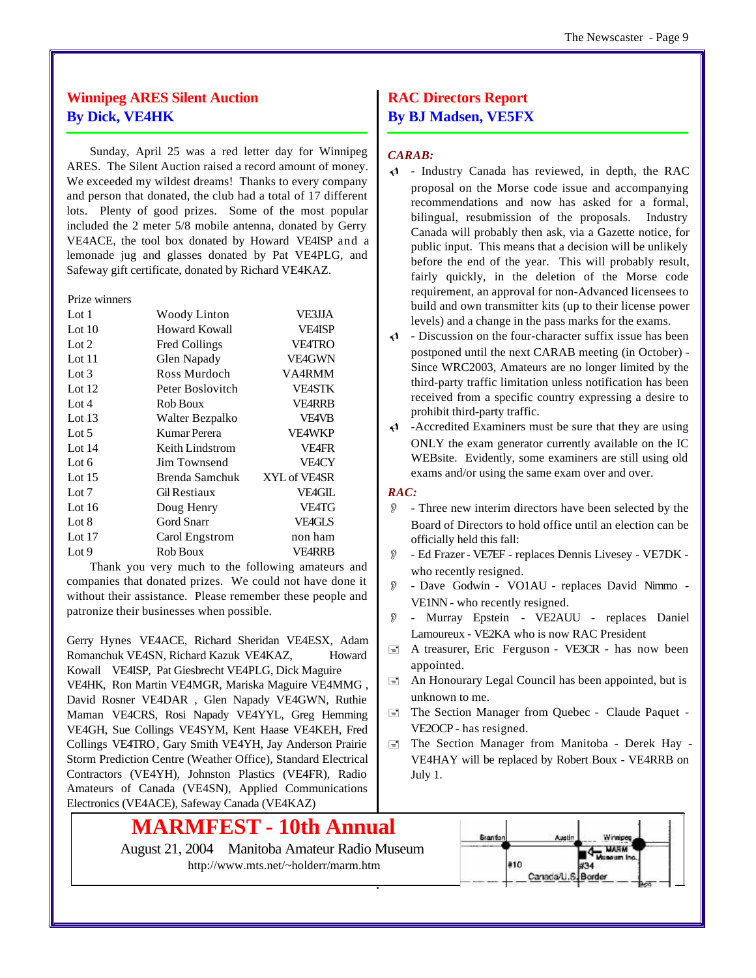# **Winnipeg ARES Silent Auction By Dick, VE4HK**

Sunday, April 25 was a red letter day for Winnipeg ARES. The Silent Auction raised a record amount of money. We exceeded my wildest dreams! Thanks to every company and person that donated, the club had a total of 17 different lots. Plenty of good prizes. Some of the most popular included the 2 meter 5/8 mobile antenna, donated by Gerry VE4ACE, the tool box donated by Howard VE4ISP and a lemonade jug and glasses donated by Pat VE4PLG, and Safeway gift certificate, donated by Richard VE4KAZ.

#### Prize winners

| Lot $1$  | <b>Woody Linton</b> | VE3JJA        |
|----------|---------------------|---------------|
| Lot $10$ | Howard Kowall       | <b>VE4ISP</b> |
| Lot $2$  | Fred Collings       | <b>VE4TRO</b> |
| Lot $11$ | Glen Napady         | <b>VE4GWN</b> |
| Lot $3$  | Ross Murdoch        | VA4RMM        |
| Lot $12$ | Peter Boslovitch    | <b>VEASTK</b> |
| Lot $4$  | Rob Boux            | <b>VE4RRB</b> |
| Lot $13$ | Walter Bezpalko     | <b>VF4VB</b>  |
| Lot $5$  | Kumar Perera        | <b>VF4WKP</b> |
| Lot $14$ | Keith Lindstrom     | <b>VE4FR</b>  |
| Lot $6$  | Jim Townsend        | <b>VEACY</b>  |
| Lot $15$ | Brenda Samchuk      | XYL of VE4SR  |
| Lot $7$  | Gil Restiaux        | <b>VE4GIL</b> |
| Lot $16$ | Doug Henry          | <b>VE4TG</b>  |
| Lot 8    | Gord Snarr          | VFAGI S       |
| Lot $17$ | Carol Engstrom      | non ham       |
| Lot $9$  | Rob Boux            | <b>VE4RRB</b> |

Thank you very much to the following amateurs and companies that donated prizes. We could not have done it without their assistance. Please remember these people and patronize their businesses when possible.

Gerry Hynes VE4ACE, Richard Sheridan VE4ESX, Adam Romanchuk VE4SN, Richard Kazuk VE4KAZ, Howard Kowall VE4ISP, Pat Giesbrecht VE4PLG, Dick Maguire

VE4HK, Ron Martin VE4MGR, Mariska Maguire VE4MMG , David Rosner VE4DAR , Glen Napady VE4GWN, Ruthie Maman VE4CRS, Rosi Napady VE4YYL, Greg Hemming VE4GH, Sue Collings VE4SYM, Kent Haase VE4KEH, Fred Collings VE4TRO, Gary Smith VE4YH, Jay Anderson Prairie Storm Prediction Centre (Weather Office), Standard Electrical Contractors (VE4YH), Johnston Plastics (VE4FR), Radio Amateurs of Canada (VE4SN), Applied Communications Electronics (VE4ACE), Safeway Canada (VE4KAZ)

# **MARMFEST - 10th Annual**

August 21, 2004 Manitoba Amateur Radio Museum <http://www.mts.net/~holderr/marm.htm>

# **RAC Directors Report By BJ Madsen, VE5FX**

#### *CARAB:*

- $\triangleleft$  Industry Canada has reviewed, in depth, the RAC proposal on the Morse code issue and accompanying recommendations and now has asked for a formal, bilingual, resubmission of the proposals. Industry Canada will probably then ask, via a Gazette notice, for public input. This means that a decision will be unlikely before the end of the year. This will probably result, fairly quickly, in the deletion of the Morse code requirement, an approval for non-Advanced licensees to build and own transmitter kits (up to their license power levels) and a change in the pass marks for the exams.
- $\triangleleft$  Discussion on the four-character suffix issue has been postponed until the next CARAB meeting (in October) - Since WRC2003, Amateurs are no longer limited by the third-party traffic limitation unless notification has been received from a specific country expressing a desire to prohibit third-party traffic.
- $\triangleleft$  -Accredited Examiners must be sure that they are using ONLY the exam generator currently available on the IC WEBsite. Evidently, some examiners are still using old exams and/or using the same exam over and over.

#### *RAC:*

- O Three new interim directors have been selected by the Board of Directors to hold office until an election can be officially held this fall:
- O Ed Frazer VE7EF replaces Dennis Livesey VE7DK who recently resigned.
- O Dave Godwin VO1AU replaces David Nimmo VE1NN - who recently resigned.
- O Murray Epstein VE2AUU replaces Daniel Lamoureux - VE2KA who is now RAC President
- $\equiv$  A treasurer, Eric Ferguson VE3CR has now been appointed.
- $\equiv$  An Honourary Legal Council has been appointed, but is unknown to me.
- $\equiv$  The Section Manager from Quebec Claude Paquet -VE2OCP - has resigned.
- $\equiv$  The Section Manager from Manitoba Derek Hay -VE4HAY will be replaced by Robert Boux - VE4RRB on July 1.